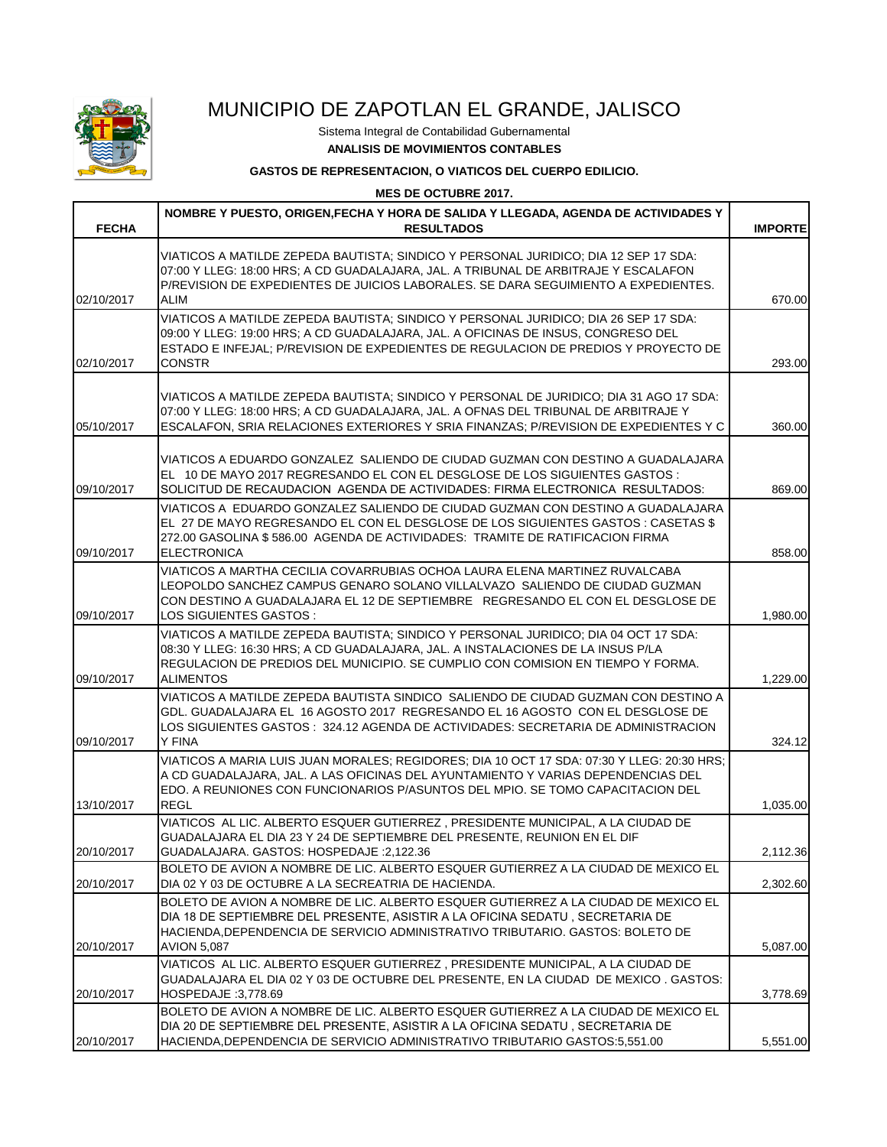

## MUNICIPIO DE ZAPOTLAN EL GRANDE, JALISCO

Sistema Integral de Contabilidad Gubernamental **ANALISIS DE MOVIMIENTOS CONTABLES**

## **GASTOS DE REPRESENTACION, O VIATICOS DEL CUERPO EDILICIO.**

**MES DE OCTUBRE 2017.**

| <b>FECHA</b> | NOMBRE Y PUESTO, ORIGEN, FECHA Y HORA DE SALIDA Y LLEGADA, AGENDA DE ACTIVIDADES Y<br><b>RESULTADOS</b>                                                                                                                                                                         | <b>IMPORTE</b> |
|--------------|---------------------------------------------------------------------------------------------------------------------------------------------------------------------------------------------------------------------------------------------------------------------------------|----------------|
|              | VIATICOS A MATILDE ZEPEDA BAUTISTA: SINDICO Y PERSONAL JURIDICO: DIA 12 SEP 17 SDA:<br>07:00 Y LLEG: 18:00 HRS; A CD GUADALAJARA, JAL. A TRIBUNAL DE ARBITRAJE Y ESCALAFON<br>P/REVISION DE EXPEDIENTES DE JUICIOS LABORALES. SE DARA SEGUIMIENTO A EXPEDIENTES.                |                |
| 02/10/2017   | ALIM                                                                                                                                                                                                                                                                            | 670.00         |
| 02/10/2017   | VIATICOS A MATILDE ZEPEDA BAUTISTA; SINDICO Y PERSONAL JURIDICO; DIA 26 SEP 17 SDA:<br>09:00 Y LLEG: 19:00 HRS; A CD GUADALAJARA, JAL. A OFICINAS DE INSUS, CONGRESO DEL<br>ESTADO E INFEJAL: P/REVISION DE EXPEDIENTES DE REGULACION DE PREDIOS Y PROYECTO DE<br>CONSTR        | 293.00         |
| 05/10/2017   | VIATICOS A MATILDE ZEPEDA BAUTISTA; SINDICO Y PERSONAL DE JURIDICO; DIA 31 AGO 17 SDA:<br>07:00 Y LLEG: 18:00 HRS; A CD GUADALAJARA, JAL. A OFNAS DEL TRIBUNAL DE ARBITRAJE Y<br>ESCALAFON, SRIA RELACIONES EXTERIORES Y SRIA FINANZAS; P/REVISION DE EXPEDIENTES Y C           | 360.00         |
| 09/10/2017   | VIATICOS A EDUARDO GONZALEZ SALIENDO DE CIUDAD GUZMAN CON DESTINO A GUADALAJARA<br>EL 10 DE MAYO 2017 REGRESANDO EL CON EL DESGLOSE DE LOS SIGUIENTES GASTOS :<br>SOLICITUD DE RECAUDACION AGENDA DE ACTIVIDADES: FIRMA ELECTRONICA RESULTADOS:                                 | 869.00         |
| 09/10/2017   | VIATICOS A EDUARDO GONZALEZ SALIENDO DE CIUDAD GUZMAN CON DESTINO A GUADALAJARA<br>EL 27 DE MAYO REGRESANDO EL CON EL DESGLOSE DE LOS SIGUIENTES GASTOS : CASETAS \$<br>272.00 GASOLINA \$586.00 AGENDA DE ACTIVIDADES: TRAMITE DE RATIFICACION FIRMA<br><b>ELECTRONICA</b>     | 858.00         |
| 09/10/2017   | VIATICOS A MARTHA CECILIA COVARRUBIAS OCHOA LAURA ELENA MARTINEZ RUVALCABA<br>LEOPOLDO SANCHEZ CAMPUS GENARO SOLANO VILLALVAZO SALIENDO DE CIUDAD GUZMAN<br>CON DESTINO A GUADALAJARA EL 12 DE SEPTIEMBRE   REGRESANDO EL CON EL DESGLOSE DE<br>LOS SIGUIENTES GASTOS:          | 1,980.00       |
| 09/10/2017   | VIATICOS A MATILDE ZEPEDA BAUTISTA; SINDICO Y PERSONAL JURIDICO; DIA 04 OCT 17 SDA:<br>08:30 Y LLEG: 16:30 HRS; A CD GUADALAJARA, JAL. A INSTALACIONES DE LA INSUS P/LA<br>REGULACION DE PREDIOS DEL MUNICIPIO. SE CUMPLIO CON COMISION EN TIEMPO Y FORMA.<br><b>ALIMENTOS</b>  | 1,229.00       |
| 09/10/2017   | VIATICOS A MATILDE ZEPEDA BAUTISTA SINDICO SALIENDO DE CIUDAD GUZMAN CON DESTINO A<br>GDL. GUADALAJARA EL 16 AGOSTO 2017 REGRESANDO EL 16 AGOSTO CON EL DESGLOSE DE<br>LOS SIGUIENTES GASTOS : 324.12 AGENDA DE ACTIVIDADES: SECRETARIA DE ADMINISTRACION<br>Y FINA             | 324.12         |
| 13/10/2017   | VIATICOS A MARIA LUIS JUAN MORALES: REGIDORES: DIA 10 OCT 17 SDA: 07:30 Y LLEG: 20:30 HRS:<br>A CD GUADALAJARA, JAL. A LAS OFICINAS DEL AYUNTAMIENTO Y VARIAS DEPENDENCIAS DEL<br>EDO. A REUNIONES CON FUNCIONARIOS P/ASUNTOS DEL MPIO. SE TOMO CAPACITACION DEL<br><b>REGL</b> | 1,035.00       |
| 20/10/2017   | VIATICOS AL LIC. ALBERTO ESQUER GUTIERREZ, PRESIDENTE MUNICIPAL, A LA CIUDAD DE<br>GUADALAJARA EL DIA 23 Y 24 DE SEPTIEMBRE DEL PRESENTE. REUNION EN EL DIF<br>GUADALAJARA. GASTOS: HOSPEDAJE : 2,122.36                                                                        | 2,112.36       |
| 20/10/2017   | BOLETO DE AVION A NOMBRE DE LIC. ALBERTO ESQUER GUTIERREZ A LA CIUDAD DE MEXICO EL<br>DIA 02 Y 03 DE OCTUBRE A LA SECREATRIA DE HACIENDA.                                                                                                                                       | 2,302.60       |
| 20/10/2017   | BOLETO DE AVION A NOMBRE DE LIC. ALBERTO ESQUER GUTIERREZ A LA CIUDAD DE MEXICO EL<br>DIA 18 DE SEPTIEMBRE DEL PRESENTE, ASISTIR A LA OFICINA SEDATU, SECRETARIA DE<br>HACIENDA, DEPENDENCIA DE SERVICIO ADMINISTRATIVO TRIBUTARIO. GASTOS: BOLETO DE<br>AVION 5,087            | 5,087.00       |
| 20/10/2017   | VIATICOS AL LIC. ALBERTO ESQUER GUTIERREZ, PRESIDENTE MUNICIPAL, A LA CIUDAD DE<br>GUADALAJARA EL DIA 02 Y 03 DE OCTUBRE DEL PRESENTE, EN LA CIUDAD DE MEXICO. GASTOS:<br>HOSPEDAJE :3,778.69                                                                                   | 3,778.69       |
| 20/10/2017   | BOLETO DE AVION A NOMBRE DE LIC. ALBERTO ESQUER GUTIERREZ A LA CIUDAD DE MEXICO EL<br>DIA 20 DE SEPTIEMBRE DEL PRESENTE, ASISTIR A LA OFICINA SEDATU, SECRETARIA DE<br>HACIENDA, DEPENDENCIA DE SERVICIO ADMINISTRATIVO TRIBUTARIO GASTOS: 5,551.00                             | 5,551.00       |